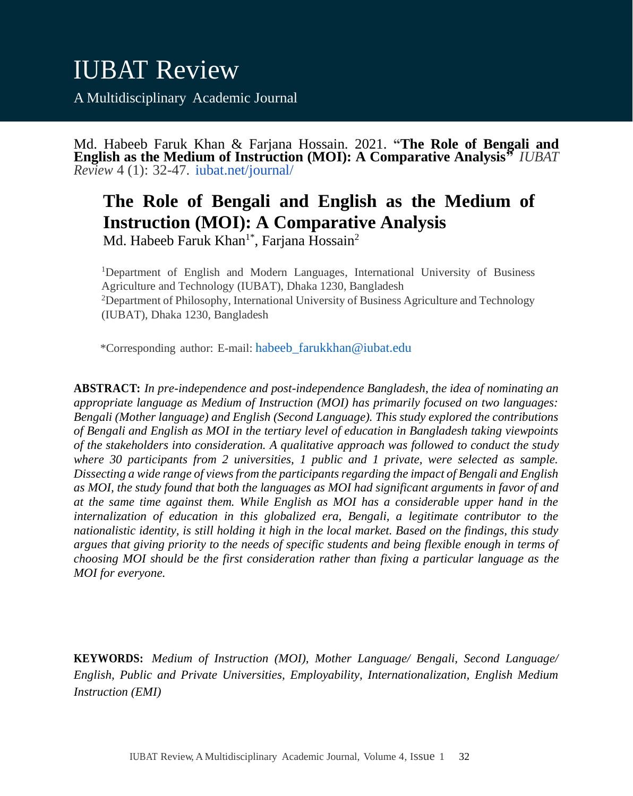Md. Habeeb Faruk Khan & Farjana Hossain. 2021. **"The Role of Bengali and English as the Medium of Instruction (MOI): A Comparative Analysis"** *IUBAT Review* 4 (1): 32-47. iubat.net/journal/

# **The Role of Bengali and English as the Medium of Instruction (MOI): A Comparative Analysis**

Md. Habeeb Faruk Khan<sup>1\*</sup>, Farjana Hossain<sup>2</sup>

<sup>1</sup>Department of English and Modern Languages, International University of Business Agriculture and Technology (IUBAT), Dhaka 1230, Bangladesh <sup>2</sup>Department of Philosophy, International University of Business Agriculture and Technology (IUBAT), Dhaka 1230, Bangladesh

\*Corresponding author: E-mail: [habeeb\\_farukkhan@iubat.edu](mailto:habeeb_farukkhan@iubat.edu)

**ABSTRACT:** *In pre-independence and post-independence Bangladesh, the idea of nominating an appropriate language as Medium of Instruction (MOI) has primarily focused on two languages: Bengali (Mother language) and English (Second Language). This study explored the contributions of Bengali and English as MOI in the tertiary level of education in Bangladesh taking viewpoints of the stakeholders into consideration. A qualitative approach was followed to conduct the study where 30 participants from 2 universities, 1 public and 1 private, were selected as sample. Dissecting a wide range of views from the participants regarding the impact of Bengali and English as MOI, the study found that both the languages as MOI had significant arguments in favor of and at the same time against them. While English as MOI has a considerable upper hand in the internalization of education in this globalized era, Bengali, a legitimate contributor to the nationalistic identity, is still holding it high in the local market. Based on the findings, this study argues that giving priority to the needs of specific students and being flexible enough in terms of choosing MOI should be the first consideration rather than fixing a particular language as the MOI for everyone.*

**KEYWORDS:** *Medium of Instruction (MOI), Mother Language/ Bengali, Second Language/ English, Public and Private Universities, Employability, Internationalization, English Medium Instruction (EMI)*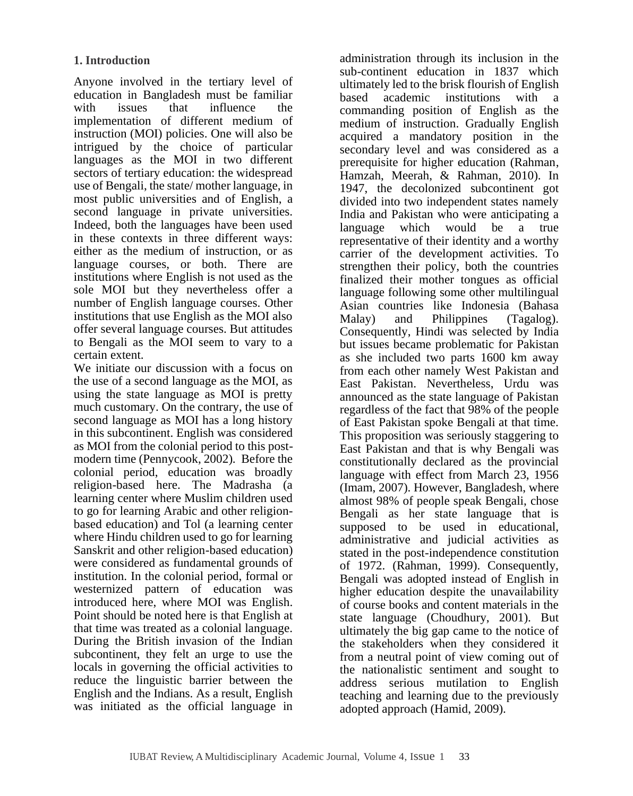Anyone involved in the tertiary level of education in Bangladesh must be familiar with issues that influence the implementation of different medium of instruction (MOI) policies. One will also be intrigued by the choice of particular languages as the MOI in two different sectors of tertiary education: the widespread use of Bengali, the state/ mother language, in most public universities and of English, a second language in private universities. Indeed, both the languages have been used in these contexts in three different ways: either as the medium of instruction, or as language courses, or both. There are institutions where English is not used as the sole MOI but they nevertheless offer a number of English language courses. Other institutions that use English as the MOI also offer several language courses. But attitudes to Bengali as the MOI seem to vary to a certain extent.

We initiate our discussion with a focus on the use of a second language as the MOI, as using the state language as MOI is pretty much customary. On the contrary, the use of second language as MOI has a long history in this subcontinent. English was considered as MOI from the colonial period to this postmodern time (Pennycook, 2002). Before the colonial period, education was broadly religion-based here. The Madrasha (a learning center where Muslim children used to go for learning Arabic and other religionbased education) and Tol (a learning center where Hindu children used to go for learning Sanskrit and other religion-based education) were considered as fundamental grounds of institution. In the colonial period, formal or westernized pattern of education was introduced here, where MOI was English. Point should be noted here is that English at that time was treated as a colonial language. During the British invasion of the Indian subcontinent, they felt an urge to use the locals in governing the official activities to reduce the linguistic barrier between the English and the Indians. As a result, English was initiated as the official language in

administration through its inclusion in the sub-continent education in 1837 which ultimately led to the brisk flourish of English based academic institutions with a commanding position of English as the medium of instruction. Gradually English acquired a mandatory position in the secondary level and was considered as a prerequisite for higher education (Rahman, Hamzah, Meerah, & Rahman, 2010). In 1947, the decolonized subcontinent got divided into two independent states namely India and Pakistan who were anticipating a language which would be a true representative of their identity and a worthy carrier of the development activities. To strengthen their policy, both the countries finalized their mother tongues as official language following some other multilingual Asian countries like Indonesia (Bahasa Malay) and Philippines (Tagalog). Consequently, Hindi was selected by India but issues became problematic for Pakistan as she included two parts 1600 km away from each other namely West Pakistan and East Pakistan. Nevertheless, Urdu was announced as the state language of Pakistan regardless of the fact that 98% of the people of East Pakistan spoke Bengali at that time. This proposition was seriously staggering to East Pakistan and that is why Bengali was constitutionally declared as the provincial language with effect from March 23, 1956 (Imam, 2007). However, Bangladesh, where almost 98% of people speak Bengali, chose Bengali as her state language that is supposed to be used in educational, administrative and judicial activities as stated in the post-independence constitution of 1972. (Rahman, 1999). Consequently, Bengali was adopted instead of English in higher education despite the unavailability of course books and content materials in the state language (Choudhury, 2001). But ultimately the big gap came to the notice of the stakeholders when they considered it from a neutral point of view coming out of the nationalistic sentiment and sought to address serious mutilation to English teaching and learning due to the previously adopted approach (Hamid, 2009).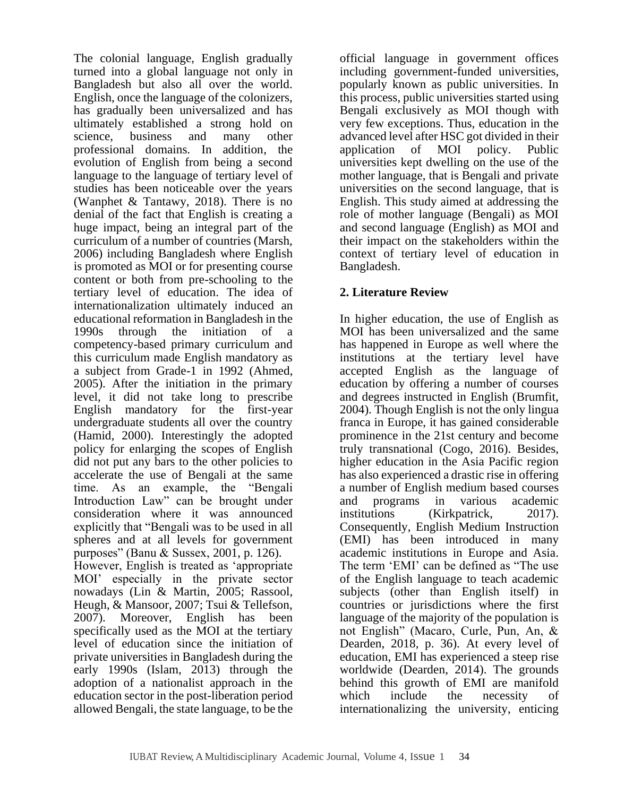The colonial language, English gradually turned into a global language not only in Bangladesh but also all over the world. English, once the language of the colonizers, has gradually been universalized and has ultimately established a strong hold on science, business and many other professional domains. In addition, the evolution of English from being a second language to the language of tertiary level of studies has been noticeable over the years (Wanphet & Tantawy, 2018). There is no denial of the fact that English is creating a huge impact, being an integral part of the curriculum of a number of countries (Marsh, 2006) including Bangladesh where English is promoted as MOI or for presenting course content or both from pre-schooling to the tertiary level of education. The idea of internationalization ultimately induced an educational reformation in Bangladesh in the 1990s through the initiation of a competency-based primary curriculum and this curriculum made English mandatory as a subject from Grade-1 in 1992 (Ahmed, 2005). After the initiation in the primary level, it did not take long to prescribe English mandatory for the first-year undergraduate students all over the country (Hamid, 2000). Interestingly the adopted policy for enlarging the scopes of English did not put any bars to the other policies to accelerate the use of Bengali at the same time. As an example, the "Bengali Introduction Law" can be brought under consideration where it was announced explicitly that "Bengali was to be used in all spheres and at all levels for government purposes" (Banu & Sussex, 2001, p. 126). However, English is treated as 'appropriate MOI' especially in the private sector nowadays (Lin & Martin, 2005; Rassool, Heugh, & Mansoor, 2007; Tsui & Tellefson, 2007). Moreover, English has been specifically used as the MOI at the tertiary level of education since the initiation of private universities in Bangladesh during the early 1990s (Islam, 2013) through the adoption of a nationalist approach in the education sector in the post-liberation period

allowed Bengali, the state language, to be the

official language in government offices including government-funded universities, popularly known as public universities. In this process, public universities started using Bengali exclusively as MOI though with very few exceptions. Thus, education in the advanced level after HSC got divided in their application of MOI policy. Public universities kept dwelling on the use of the mother language, that is Bengali and private universities on the second language, that is English. This study aimed at addressing the role of mother language (Bengali) as MOI and second language (English) as MOI and their impact on the stakeholders within the context of tertiary level of education in Bangladesh.

## **2. Literature Review**

In higher education, the use of English as MOI has been universalized and the same has happened in Europe as well where the institutions at the tertiary level have accepted English as the language of education by offering a number of courses and degrees instructed in English (Brumfit, 2004). Though English is not the only lingua franca in Europe, it has gained considerable prominence in the 21st century and become truly transnational (Cogo, 2016). Besides, higher education in the Asia Pacific region has also experienced a drastic rise in offering a number of English medium based courses and programs in various academic institutions (Kirkpatrick, 2017). Consequently, English Medium Instruction (EMI) has been introduced in many academic institutions in Europe and Asia. The term 'EMI' can be defined as "The use of the English language to teach academic subjects (other than English itself) in countries or jurisdictions where the first language of the majority of the population is not English" (Macaro, Curle, Pun, An, & Dearden, 2018, p. 36). At every level of education, EMI has experienced a steep rise worldwide (Dearden, 2014). The grounds behind this growth of EMI are manifold which include the necessity of internationalizing the university, enticing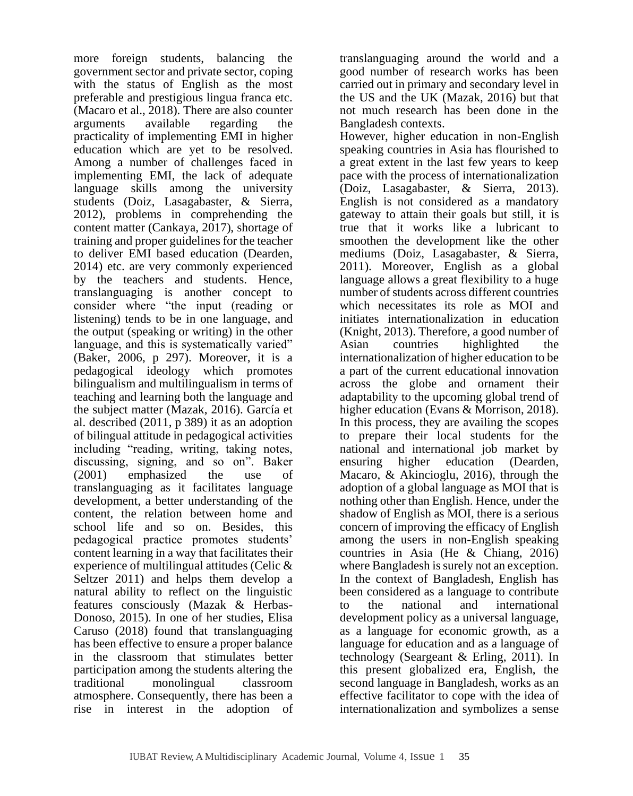more foreign students, balancing the government sector and private sector, coping with the status of English as the most preferable and prestigious lingua franca etc. (Macaro et al., 2018). There are also counter arguments available regarding the practicality of implementing EMI in higher education which are yet to be resolved. Among a number of challenges faced in implementing EMI, the lack of adequate language skills among the university students (Doiz, Lasagabaster, & Sierra, 2012), problems in comprehending the content matter (Cankaya,  $2017$ ), shortage of training and proper guidelines for the teacher to deliver EMI based education (Dearden, 2014) etc. are very commonly experienced by the teachers and students. Hence, translanguaging is another concept to consider where "the input (reading or listening) tends to be in one language, and the output (speaking or writing) in the other language, and this is systematically varied" (Baker, 2006, p 297). Moreover, it is a pedagogical ideology which promotes bilingualism and multilingualism in terms of teaching and learning both the language and the subject matter (Mazak, 2016). García et al. described (2011, p 389) it as an adoption of bilingual attitude in pedagogical activities including "reading, writing, taking notes, discussing, signing, and so on". Baker (2001) emphasized the use of translanguaging as it facilitates language development, a better understanding of the content, the relation between home and school life and so on. Besides, this pedagogical practice promotes students' content learning in a way that facilitates their experience of multilingual attitudes (Celic & Seltzer 2011) and helps them develop a natural ability to reflect on the linguistic features consciously (Mazak & Herbas-Donoso, 2015). In one of her studies, Elisa Caruso (2018) found that translanguaging has been effective to ensure a proper balance in the classroom that stimulates better participation among the students altering the traditional monolingual classroom atmosphere. Consequently, there has been a rise in interest in the adoption of

translanguaging around the world and a good number of research works has been carried out in primary and secondary level in the US and the UK (Mazak, 2016) but that not much research has been done in the Bangladesh contexts.

However, higher education in non-English speaking countries in Asia has flourished to a great extent in the last few years to keep pace with the process of internationalization (Doiz, Lasagabaster, & Sierra, 2013). English is not considered as a mandatory gateway to attain their goals but still, it is true that it works like a lubricant to smoothen the development like the other mediums (Doiz, Lasagabaster, & Sierra, 2011). Moreover, English as a global language allows a great flexibility to a huge number of students across different countries which necessitates its role as MOI and initiates internationalization in education (Knight, 2013). Therefore, a good number of Asian countries highlighted the internationalization of higher education to be a part of the current educational innovation across the globe and ornament their adaptability to the upcoming global trend of higher education (Evans & Morrison, 2018). In this process, they are availing the scopes to prepare their local students for the national and international job market by ensuring higher education (Dearden, Macaro, & Akincioglu, 2016), through the adoption of a global language as MOI that is nothing other than English. Hence, under the shadow of English as MOI, there is a serious concern of improving the efficacy of English among the users in non-English speaking countries in Asia (He & Chiang, 2016) where Bangladesh is surely not an exception. In the context of Bangladesh, English has been considered as a language to contribute to the national and international development policy as a universal language, as a language for economic growth, as a language for education and as a language of technology (Seargeant & Erling, 2011). In this present globalized era, English, the second language in Bangladesh, works as an effective facilitator to cope with the idea of internationalization and symbolizes a sense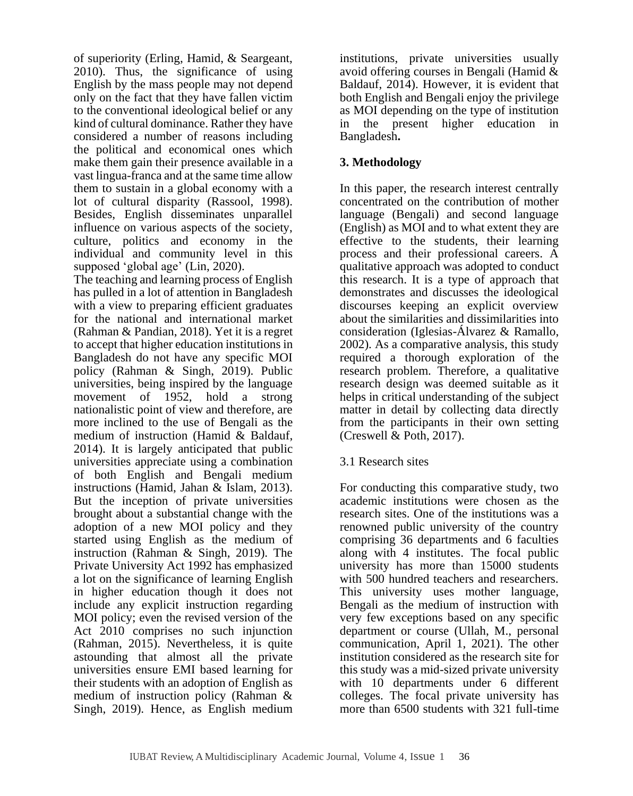of superiority (Erling, Hamid, & Seargeant, 2010). Thus, the significance of using English by the mass people may not depend only on the fact that they have fallen victim to the conventional ideological belief or any kind of cultural dominance. Rather they have considered a number of reasons including the political and economical ones which make them gain their presence available in a vast lingua-franca and at the same time allow them to sustain in a global economy with a lot of cultural disparity (Rassool, 1998). Besides, English disseminates unparallel influence on various aspects of the society, culture, politics and economy in the individual and community level in this supposed 'global age' (Lin, 2020).

The teaching and learning process of English has pulled in a lot of attention in Bangladesh with a view to preparing efficient graduates for the national and international market (Rahman & Pandian, 2018). Yet it is a regret to accept that higher education institutions in Bangladesh do not have any specific MOI policy (Rahman & Singh,  $2019$ ). Public universities, being inspired by the language movement of 1952, hold a strong nationalistic point of view and therefore, are more inclined to the use of Bengali as the medium of instruction (Hamid & Baldauf, 2014). It is largely anticipated that public universities appreciate using a combination of both English and Bengali medium instructions (Hamid, Jahan & Islam, 2013). But the inception of private universities brought about a substantial change with the adoption of a new MOI policy and they started using English as the medium of instruction (Rahman & Singh, 2019). The Private University Act 1992 has emphasized a lot on the significance of learning English in higher education though it does not include any explicit instruction regarding MOI policy; even the revised version of the Act 2010 comprises no such injunction (Rahman, 2015). Nevertheless, it is quite astounding that almost all the private universities ensure EMI based learning for their students with an adoption of English as medium of instruction policy (Rahman & Singh, 2019). Hence, as English medium institutions, private universities usually avoid offering courses in Bengali (Hamid & Baldauf, 2014). However, it is evident that both English and Bengali enjoy the privilege as MOI depending on the type of institution in the present higher education in Bangladesh**.**

# **3. Methodology**

In this paper, the research interest centrally concentrated on the contribution of mother language (Bengali) and second language (English) as MOI and to what extent they are effective to the students, their learning process and their professional careers. A qualitative approach was adopted to conduct this research. It is a type of approach that demonstrates and discusses the ideological discourses keeping an explicit overview about the similarities and dissimilarities into consideration (Iglesias-Álvarez & Ramallo, 2002). As a comparative analysis, this study required a thorough exploration of the research problem. Therefore, a qualitative research design was deemed suitable as it helps in critical understanding of the subject matter in detail by collecting data directly from the participants in their own setting (Creswell & Poth, 2017).

## 3.1 Research sites

For conducting this comparative study, two academic institutions were chosen as the research sites. One of the institutions was a renowned public university of the country comprising 36 departments and 6 faculties along with 4 institutes. The focal public university has more than 15000 students with 500 hundred teachers and researchers. This university uses mother language, Bengali as the medium of instruction with very few exceptions based on any specific department or course (Ullah, M., personal communication, April 1, 2021). The other institution considered as the research site for this study was a mid-sized private university with 10 departments under 6 different colleges. The focal private university has more than 6500 students with 321 full-time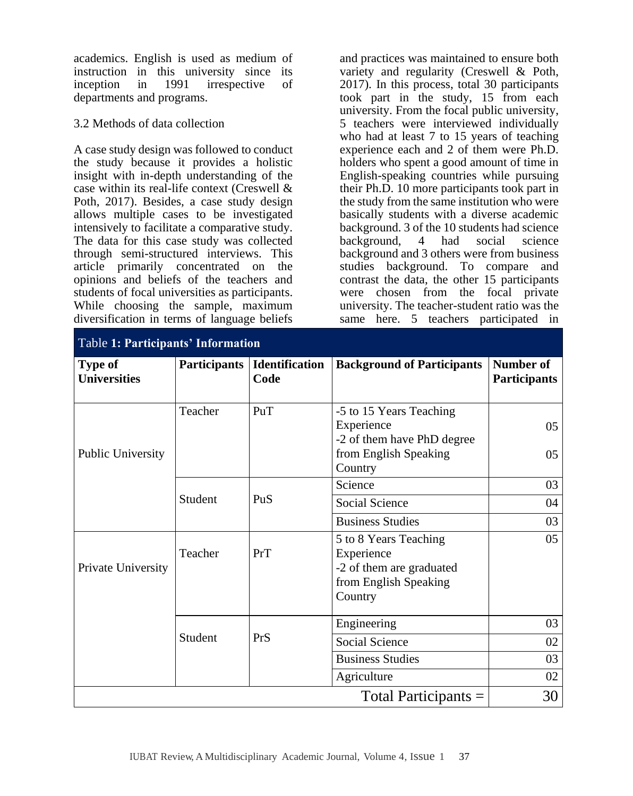academics. English is used as medium of instruction in this university since its inception in 1991 irrespective of departments and programs.

#### 3.2 Methods of data collection

A case study design was followed to conduct the study because it provides a holistic insight with in-depth understanding of the case within its real-life context (Creswell & Poth, 2017). Besides, a case study design allows multiple cases to be investigated intensively to facilitate a comparative study. The data for this case study was collected through semi-structured interviews. This article primarily concentrated on the opinions and beliefs of the teachers and students of focal universities as participants. While choosing the sample, maximum diversification in terms of language beliefs

and practices was maintained to ensure both variety and regularity (Creswell & Poth, 2017). In this process, total 30 participants took part in the study, 15 from each university. From the focal public university, 5 teachers were interviewed individually who had at least 7 to 15 years of teaching experience each and 2 of them were Ph.D. holders who spent a good amount of time in English-speaking countries while pursuing their Ph.D. 10 more participants took part in the study from the same institution who were basically students with a diverse academic background. 3 of the 10 students had science background, 4 had social science background and 3 others were from business studies background. To compare and contrast the data, the other 15 participants were chosen from the focal private university. The teacher-student ratio was the same here. 5 teachers participated in

| <b>Table 1: Participants' Information</b> |                     |                        |                                                                                                         |                                  |
|-------------------------------------------|---------------------|------------------------|---------------------------------------------------------------------------------------------------------|----------------------------------|
| Type of<br><b>Universities</b>            | <b>Participants</b> | Identification<br>Code | <b>Background of Participants</b>                                                                       | Number of<br><b>Participants</b> |
| <b>Public University</b>                  | Teacher             | PuT                    | -5 to 15 Years Teaching<br>Experience<br>-2 of them have PhD degree<br>from English Speaking<br>Country | 0.5<br>0 <sub>5</sub>            |
|                                           | Student             | PuS                    | Science                                                                                                 | 03                               |
|                                           |                     |                        | <b>Social Science</b>                                                                                   | 04                               |
|                                           |                     |                        | <b>Business Studies</b>                                                                                 | 03                               |
| Private University                        | Teacher             | PrT                    | 5 to 8 Years Teaching<br>Experience<br>-2 of them are graduated<br>from English Speaking<br>Country     | 05                               |
|                                           | <b>Student</b>      | PrS                    | Engineering                                                                                             | 03                               |
|                                           |                     |                        | <b>Social Science</b>                                                                                   | 02                               |
|                                           |                     |                        | <b>Business Studies</b>                                                                                 | 03                               |
|                                           |                     |                        | Agriculture                                                                                             | 02                               |
| Total Participants =                      |                     |                        |                                                                                                         | 30                               |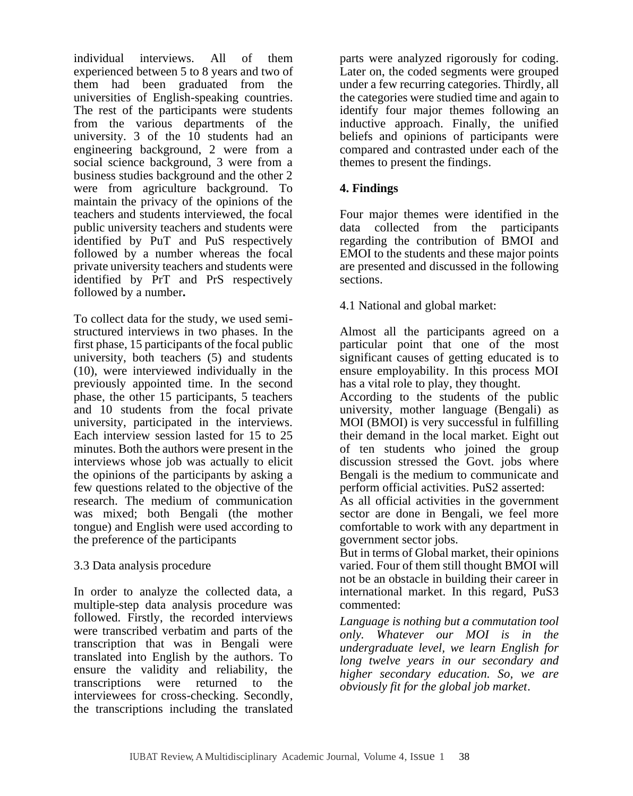individual interviews. All of them experienced between 5 to 8 years and two of them had been graduated from the universities of English-speaking countries. The rest of the participants were students from the various departments of the university. 3 of the  $10$  students had an engineering background, 2 were from a social science background, 3 were from a business studies background and the other 2 were from agriculture background. To maintain the privacy of the opinions of the teachers and students interviewed, the focal public university teachers and students were identified by PuT and PuS respectively followed by a number whereas the focal private university teachers and students were identified by PrT and PrS respectively followed by a number**.**

To collect data for the study, we used semistructured interviews in two phases. In the first phase, 15 participants of the focal public university, both teachers (5) and students (10), were interviewed individually in the previously appointed time. In the second phase, the other 15 participants, 5 teachers and 10 students from the focal private university, participated in the interviews. Each interview session lasted for 15 to 25 minutes. Both the authors were present in the interviews whose job was actually to elicit the opinions of the participants by asking a few questions related to the objective of the research. The medium of communication was mixed; both Bengali (the mother tongue) and English were used according to the preference of the participants

## 3.3 Data analysis procedure

In order to analyze the collected data, a multiple-step data analysis procedure was followed. Firstly, the recorded interviews were transcribed verbatim and parts of the transcription that was in Bengali were translated into English by the authors. To ensure the validity and reliability, the transcriptions were returned to the interviewees for cross-checking. Secondly, the transcriptions including the translated parts were analyzed rigorously for coding. Later on, the coded segments were grouped under a few recurring categories. Thirdly, all the categories were studied time and again to identify four major themes following an inductive approach. Finally, the unified beliefs and opinions of participants were compared and contrasted under each of the themes to present the findings.

# **4. Findings**

Four major themes were identified in the data collected from the participants regarding the contribution of BMOI and EMOI to the students and these major points are presented and discussed in the following sections.

4.1 National and global market:

Almost all the participants agreed on a particular point that one of the most significant causes of getting educated is to ensure employability. In this process MOI has a vital role to play, they thought.

According to the students of the public university, mother language (Bengali) as MOI (BMOI) is very successful in fulfilling their demand in the local market. Eight out of ten students who joined the group discussion stressed the Govt. jobs where Bengali is the medium to communicate and perform official activities. PuS2 asserted:

As all official activities in the government sector are done in Bengali, we feel more comfortable to work with any department in government sector jobs.

But in terms of Global market, their opinions varied. Four of them still thought BMOI will not be an obstacle in building their career in international market. In this regard, PuS3 commented:

*Language is nothing but a commutation tool only. Whatever our MOI is in the undergraduate level, we learn English for long twelve years in our secondary and higher secondary education. So, we are obviously fit for the global job market*.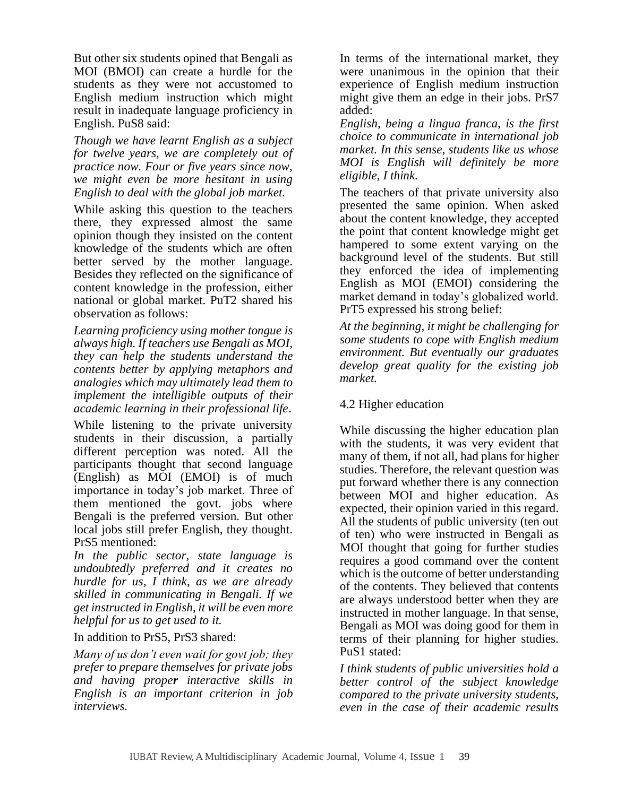But other six students opined that Bengali as MOI (BMOI) can create a hurdle for the students as they were not accustomed to English medium instruction which might result in inadequate language proficiency in English. PuS8 said:

*Though we have learnt English as a subject for twelve years, we are completely out of practice now. Four or five years since now, we might even be more hesitant in using English to deal with the global job market.* 

While asking this question to the teachers there, they expressed almost the same opinion though they insisted on the content knowledge of the students which are often better served by the mother language. Besides they reflected on the significance of content knowledge in the profession, either national or global market. PuT2 shared his observation as follows:

*Learning proficiency using mother tongue is always high. If teachers use Bengali as MOI, they can help the students understand the contents better by applying metaphors and analogies which may ultimately lead them to implement the intelligible outputs of their academic learning in their professional life*.

While listening to the private university students in their discussion, a partially different perception was noted. All the participants thought that second language (English) as MOI (EMOI) is of much importance in today's job market. Three of them mentioned the govt. jobs where Bengali is the preferred version. But other local jobs still prefer English, they thought. PrS5 mentioned:

*In the public sector, state language is undoubtedly preferred and it creates no hurdle for us, I think, as we are already skilled in communicating in Bengali. If we get instructed in English, it will be even more helpful for us to get used to it.* 

In addition to PrS5, PrS3 shared:

*Many of us don't even wait for govt job; they prefer to prepare themselves for private jobs and having proper interactive skills in English is an important criterion in job interviews.*

In terms of the international market, they were unanimous in the opinion that their experience of English medium instruction might give them an edge in their jobs. PrS7 added:

*English, being a lingua franca, is the first choice to communicate in international job market. In this sense, students like us whose MOI is English will definitely be more eligible, I think.*

The teachers of that private university also presented the same opinion. When asked about the content knowledge, they accepted the point that content knowledge might get hampered to some extent varying on the background level of the students. But still they enforced the idea of implementing English as MOI (EMOI) considering the market demand in today's globalized world. PrT5 expressed his strong belief:

*At the beginning, it might be challenging for some students to cope with English medium environment. But eventually our graduates develop great quality for the existing job market.* 

## 4.2 Higher education

While discussing the higher education plan with the students, it was very evident that many of them, if not all, had plans for higher studies. Therefore, the relevant question was put forward whether there is any connection between MOI and higher education. As expected, their opinion varied in this regard. All the students of public university (ten out of ten) who were instructed in Bengali as MOI thought that going for further studies requires a good command over the content which is the outcome of better understanding of the contents. They believed that contents are always understood better when they are instructed in mother language. In that sense, Bengali as MOI was doing good for them in terms of their planning for higher studies. PuS1 stated:

*I think students of public universities hold a better control of the subject knowledge compared to the private university students, even in the case of their academic results*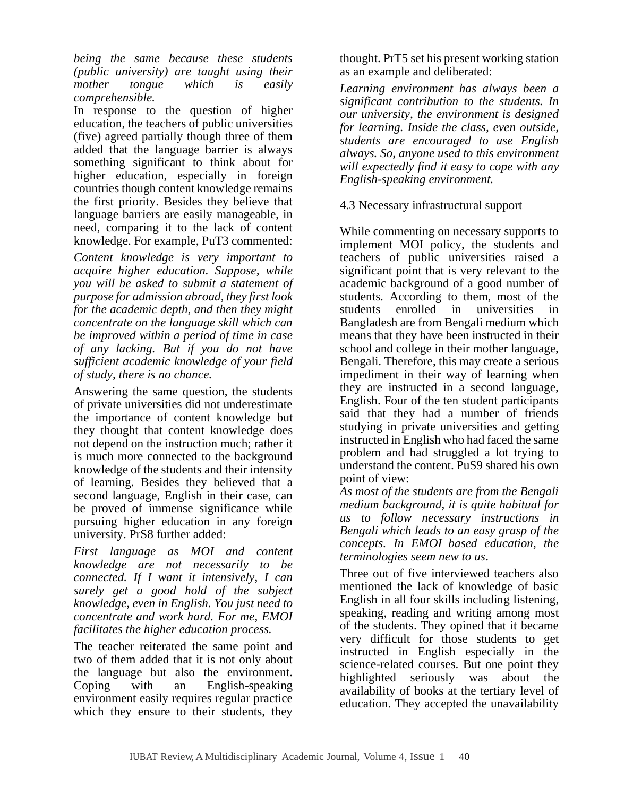*being the same because these students (public university) are taught using their mother tongue which is easily comprehensible.* 

In response to the question of higher education, the teachers of public universities (five) agreed partially though three of them added that the language barrier is always something significant to think about for higher education, especially in foreign countries though content knowledge remains the first priority. Besides they believe that language barriers are easily manageable, in need, comparing it to the lack of content knowledge. For example, PuT3 commented:

*Content knowledge is very important to acquire higher education. Suppose, while you will be asked to submit a statement of purpose for admission abroad, they first look for the academic depth, and then they might concentrate on the language skill which can be improved within a period of time in case of any lacking. But if you do not have sufficient academic knowledge of your field of study, there is no chance.* 

Answering the same question, the students of private universities did not underestimate the importance of content knowledge but they thought that content knowledge does not depend on the instruction much; rather it is much more connected to the background knowledge of the students and their intensity of learning. Besides they believed that a second language, English in their case, can be proved of immense significance while pursuing higher education in any foreign university. PrS8 further added:

*First language as MOI and content knowledge are not necessarily to be connected. If I want it intensively, I can surely get a good hold of the subject knowledge, even in English. You just need to concentrate and work hard. For me, EMOI facilitates the higher education process.* 

The teacher reiterated the same point and two of them added that it is not only about the language but also the environment. Coping with an English-speaking environment easily requires regular practice which they ensure to their students, they thought. PrT5 set his present working station as an example and deliberated:

*Learning environment has always been a significant contribution to the students. In our university, the environment is designed for learning. Inside the class, even outside, students are encouraged to use English always. So, anyone used to this environment will expectedly find it easy to cope with any English-speaking environment.* 

4.3 Necessary infrastructural support

While commenting on necessary supports to implement MOI policy, the students and teachers of public universities raised a significant point that is very relevant to the academic background of a good number of students. According to them, most of the students enrolled in universities in Bangladesh are from Bengali medium which means that they have been instructed in their school and college in their mother language, Bengali. Therefore, this may create a serious impediment in their way of learning when they are instructed in a second language, English. Four of the ten student participants said that they had a number of friends studying in private universities and getting instructed in English who had faced the same problem and had struggled a lot trying to understand the content. PuS9 shared his own point of view:

*As most of the students are from the Bengali medium background, it is quite habitual for us to follow necessary instructions in Bengali which leads to an easy grasp of the concepts. In EMOI–based education, the terminologies seem new to us*.

Three out of five interviewed teachers also mentioned the lack of knowledge of basic English in all four skills including listening, speaking, reading and writing among most of the students. They opined that it became very difficult for those students to get instructed in English especially in the science-related courses. But one point they highlighted seriously was about the availability of books at the tertiary level of education. They accepted the unavailability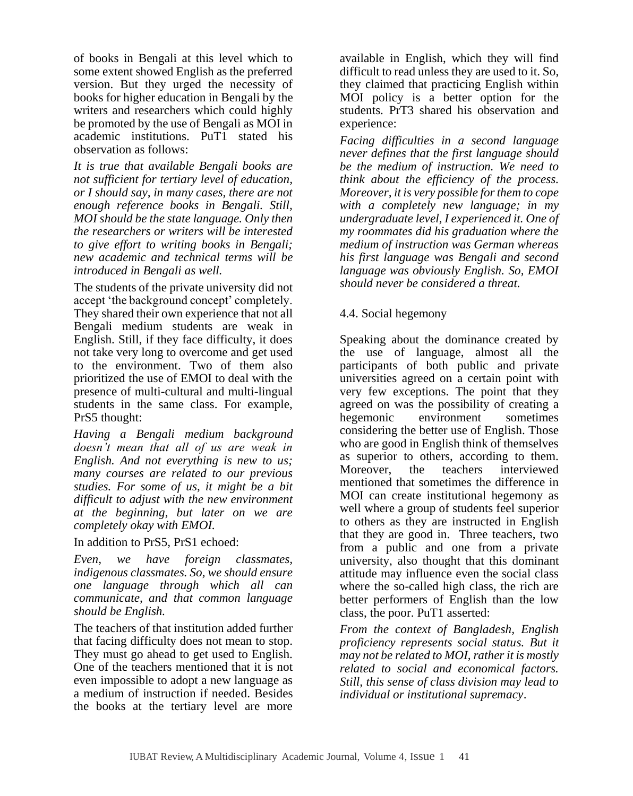of books in Bengali at this level which to some extent showed English as the preferred version. But they urged the necessity of books for higher education in Bengali by the writers and researchers which could highly be promoted by the use of Bengali as MOI in academic institutions. PuT1 stated his observation as follows:

*It is true that available Bengali books are not sufficient for tertiary level of education, or I should say, in many cases, there are not enough reference books in Bengali. Still, MOI should be the state language. Only then the researchers or writers will be interested to give effort to writing books in Bengali; new academic and technical terms will be introduced in Bengali as well.*

The students of the private university did not accept 'the background concept' completely. They shared their own experience that not all Bengali medium students are weak in English. Still, if they face difficulty, it does not take very long to overcome and get used to the environment. Two of them also prioritized the use of EMOI to deal with the presence of multi-cultural and multi-lingual students in the same class. For example, PrS5 thought:

*Having a Bengali medium background doesn't mean that all of us are weak in English. And not everything is new to us; many courses are related to our previous studies. For some of us, it might be a bit difficult to adjust with the new environment at the beginning, but later on we are completely okay with EMOI.* 

In addition to PrS5, PrS1 echoed:

*Even, we have foreign classmates, indigenous classmates. So, we should ensure one language through which all can communicate, and that common language should be English.* 

The teachers of that institution added further that facing difficulty does not mean to stop. They must go ahead to get used to English. One of the teachers mentioned that it is not even impossible to adopt a new language as a medium of instruction if needed. Besides the books at the tertiary level are more available in English, which they will find difficult to read unless they are used to it. So, they claimed that practicing English within MOI policy is a better option for the students. PrT3 shared his observation and experience:

*Facing difficulties in a second language never defines that the first language should be the medium of instruction. We need to think about the efficiency of the process. Moreover, it is very possible for them to cope with a completely new language; in my undergraduate level, I experienced it. One of my roommates did his graduation where the medium of instruction was German whereas his first language was Bengali and second language was obviously English. So, EMOI should never be considered a threat.* 

## 4.4. Social hegemony

Speaking about the dominance created by the use of language, almost all the participants of both public and private universities agreed on a certain point with very few exceptions. The point that they agreed on was the possibility of creating a hegemonic environment sometimes considering the better use of English. Those who are good in English think of themselves as superior to others, according to them. Moreover the teachers interviewed mentioned that sometimes the difference in MOI can create institutional hegemony as well where a group of students feel superior to others as they are instructed in English that they are good in. Three teachers, two from a public and one from a private university, also thought that this dominant attitude may influence even the social class where the so-called high class, the rich are better performers of English than the low class, the poor. PuT1 asserted:

*From the context of Bangladesh, English proficiency represents social status. But it may not be related to MOI, rather it is mostly related to social and economical factors. Still, this sense of class division may lead to individual or institutional supremacy*.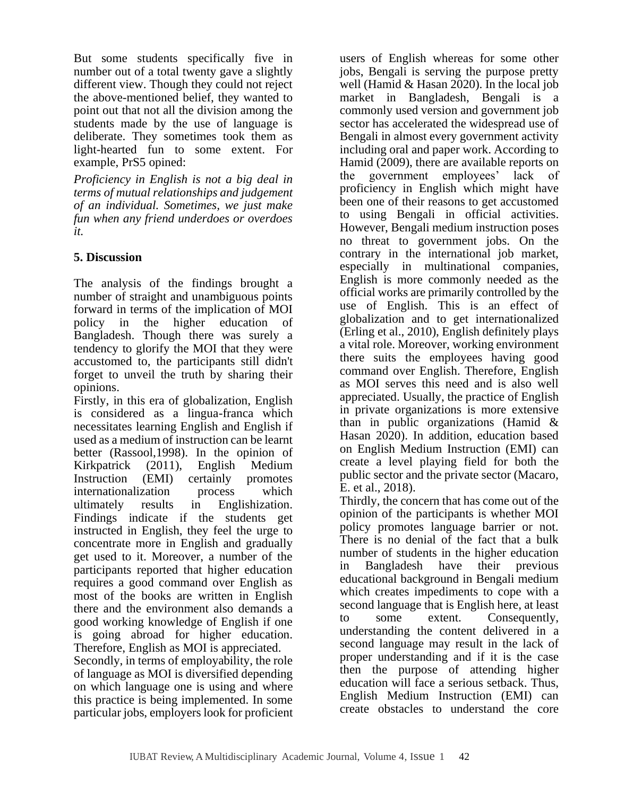But some students specifically five in number out of a total twenty gave a slightly different view. Though they could not reject the above-mentioned belief, they wanted to point out that not all the division among the students made by the use of language is deliberate. They sometimes took them as light-hearted fun to some extent. For example, PrS5 opined:

*Proficiency in English is not a big deal in terms of mutual relationships and judgement of an individual. Sometimes, we just make fun when any friend underdoes or overdoes it.* 

## **5. Discussion**

The analysis of the findings brought a number of straight and unambiguous points forward in terms of the implication of MOI policy in the higher education of Bangladesh. Though there was surely a tendency to glorify the MOI that they were accustomed to, the participants still didn't forget to unveil the truth by sharing their opinions.

Firstly, in this era of globalization, English is considered as a lingua-franca which necessitates learning English and English if used as a medium of instruction can be learnt better (Rassool,1998). In the opinion of Kirkpatrick (2011), English Medium Instruction (EMI) certainly promotes internationalization process which ultimately results in Englishization. Findings indicate if the students get instructed in English, they feel the urge to concentrate more in English and gradually get used to it. Moreover, a number of the participants reported that higher education requires a good command over English as most of the books are written in English there and the environment also demands a good working knowledge of English if one is going abroad for higher education. Therefore, English as MOI is appreciated.

Secondly, in terms of employability, the role of language as MOI is diversified depending on which language one is using and where this practice is being implemented. In some particular jobs, employers look for proficient users of English whereas for some other jobs, Bengali is serving the purpose pretty well (Hamid & Hasan 2020). In the local job market in Bangladesh, Bengali is a commonly used version and government job sector has accelerated the widespread use of Bengali in almost every government activity including oral and paper work. According to Hamid (2009), there are available reports on the government employees' lack of proficiency in English which might have been one of their reasons to get accustomed to using Bengali in official activities. However, Bengali medium instruction poses no threat to government jobs. On the contrary in the international job market, especially in multinational companies, English is more commonly needed as the official works are primarily controlled by the use of English. This is an effect of globalization and to get internationalized (Erling et al., 2010), English definitely plays a vital role. Moreover, working environment there suits the employees having good command over English. Therefore, English as MOI serves this need and is also well appreciated. Usually, the practice of English in private organizations is more extensive than in public organizations (Hamid & Hasan 2020). In addition, education based on English Medium Instruction (EMI) can create a level playing field for both the public sector and the private sector (Macaro, E. et al., 2018).

Thirdly, the concern that has come out of the opinion of the participants is whether MOI policy promotes language barrier or not. There is no denial of the fact that a bulk number of students in the higher education in Bangladesh have their previous educational background in Bengali medium which creates impediments to cope with a second language that is English here, at least to some extent. Consequently, understanding the content delivered in a second language may result in the lack of proper understanding and if it is the case then the purpose of attending higher education will face a serious setback. Thus, English Medium Instruction (EMI) can create obstacles to understand the core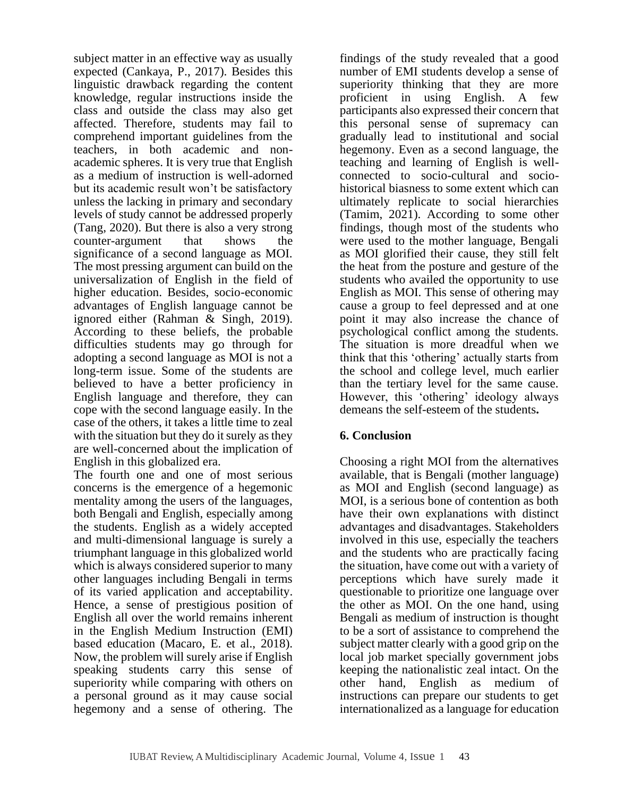subject matter in an effective way as usually expected (Cankaya, P., 2017). Besides this linguistic drawback regarding the content knowledge, regular instructions inside the class and outside the class may also get affected. Therefore, students may fail to comprehend important guidelines from the teachers, in both academic and nonacademic spheres. It is very true that English as a medium of instruction is well-adorned but its academic result won't be satisfactory unless the lacking in primary and secondary levels of study cannot be addressed properly (Tang, 2020). But there is also a very strong counter-argument that shows the significance of a second language as MOI. The most pressing argument can build on the universalization of English in the field of higher education. Besides, socio-economic advantages of English language cannot be ignored either (Rahman & Singh, 2019). According to these beliefs, the probable difficulties students may go through for adopting a second language as MOI is not a long-term issue. Some of the students are believed to have a better proficiency in English language and therefore, they can cope with the second language easily. In the case of the others, it takes a little time to zeal with the situation but they do it surely as they are well-concerned about the implication of English in this globalized era.

The fourth one and one of most serious concerns is the emergence of a hegemonic mentality among the users of the languages, both Bengali and English, especially among the students. English as a widely accepted and multi-dimensional language is surely a triumphant language in this globalized world which is always considered superior to many other languages including Bengali in terms of its varied application and acceptability. Hence, a sense of prestigious position of English all over the world remains inherent in the English Medium Instruction (EMI) based education (Macaro, E. et al., 2018). Now, the problem will surely arise if English speaking students carry this sense of superiority while comparing with others on a personal ground as it may cause social hegemony and a sense of othering. The findings of the study revealed that a good number of EMI students develop a sense of superiority thinking that they are more proficient in using English. A few participants also expressed their concern that this personal sense of supremacy can gradually lead to institutional and social hegemony. Even as a second language, the teaching and learning of English is wellconnected to socio-cultural and sociohistorical biasness to some extent which can ultimately replicate to social hierarchies (Tamim, 2021). According to some other findings, though most of the students who were used to the mother language, Bengali as MOI glorified their cause, they still felt the heat from the posture and gesture of the students who availed the opportunity to use English as MOI. This sense of othering may cause a group to feel depressed and at one point it may also increase the chance of psychological conflict among the students. The situation is more dreadful when we think that this 'othering' actually starts from the school and college level, much earlier than the tertiary level for the same cause. However, this 'othering' ideology always demeans the self-esteem of the students**.**

## **6. Conclusion**

Choosing a right MOI from the alternatives available, that is Bengali (mother language) as MOI and English (second language) as MOI, is a serious bone of contention as both have their own explanations with distinct advantages and disadvantages. Stakeholders involved in this use, especially the teachers and the students who are practically facing the situation, have come out with a variety of perceptions which have surely made it questionable to prioritize one language over the other as MOI. On the one hand, using Bengali as medium of instruction is thought to be a sort of assistance to comprehend the subject matter clearly with a good grip on the local job market specially government jobs keeping the nationalistic zeal intact. On the other hand, English as medium of instructions can prepare our students to get internationalized as a language for education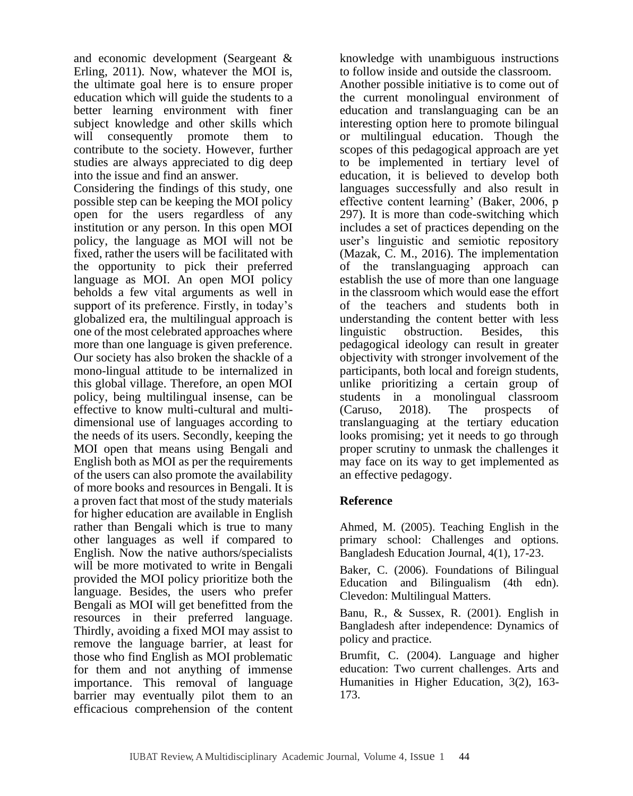and economic development (Seargeant & Erling, 2011). Now, whatever the MOI is, the ultimate goal here is to ensure proper education which will guide the students to a better learning environment with finer subject knowledge and other skills which will consequently promote them to contribute to the society. However, further studies are always appreciated to dig deep into the issue and find an answer.

Considering the findings of this study, one possible step can be keeping the MOI policy open for the users regardless of any institution or any person. In this open MOI policy, the language as MOI will not be fixed, rather the users will be facilitated with the opportunity to pick their preferred language as MOI. An open MOI policy beholds a few vital arguments as well in support of its preference. Firstly, in today's globalized era, the multilingual approach is one of the most celebrated approaches where more than one language is given preference. Our society has also broken the shackle of a mono-lingual attitude to be internalized in this global village. Therefore, an open MOI policy, being multilingual insense, can be effective to know multi-cultural and multidimensional use of languages according to the needs of its users. Secondly, keeping the MOI open that means using Bengali and English both as MOI as per the requirements of the users can also promote the availability of more books and resources in Bengali. It is a proven fact that most of the study materials for higher education are available in English rather than Bengali which is true to many other languages as well if compared to English. Now the native authors/specialists will be more motivated to write in Bengali provided the MOI policy prioritize both the language. Besides, the users who prefer Bengali as MOI will get benefitted from the resources in their preferred language. Thirdly, avoiding a fixed MOI may assist to remove the language barrier, at least for those who find English as MOI problematic for them and not anything of immense importance. This removal of language barrier may eventually pilot them to an efficacious comprehension of the content knowledge with unambiguous instructions to follow inside and outside the classroom.

Another possible initiative is to come out of the current monolingual environment of education and translanguaging can be an interesting option here to promote bilingual or multilingual education. Though the scopes of this pedagogical approach are yet to be implemented in tertiary level of education, it is believed to develop both languages successfully and also result in effective content learning' (Baker, 2006, p 297). It is more than code-switching which includes a set of practices depending on the user's linguistic and semiotic repository (Mazak, C. M., 2016). The implementation of the translanguaging approach can establish the use of more than one language in the classroom which would ease the effort of the teachers and students both in understanding the content better with less linguistic obstruction. Besides, pedagogical ideology can result in greater objectivity with stronger involvement of the participants, both local and foreign students, unlike prioritizing a certain group of students in a monolingual classroom (Caruso, 2018). The prospects of translanguaging at the tertiary education looks promising; yet it needs to go through proper scrutiny to unmask the challenges it may face on its way to get implemented as an effective pedagogy.

## **Reference**

Ahmed, M. (2005). Teaching English in the primary school: Challenges and options. Bangladesh Education Journal, 4(1), 17-23.

Baker, C. (2006). Foundations of Bilingual Education and Bilingualism (4th edn). Clevedon: Multilingual Matters.

Banu, R., & Sussex, R. (2001). English in Bangladesh after independence: Dynamics of policy and practice.

Brumfit, C. (2004). Language and higher education: Two current challenges. Arts and Humanities in Higher Education, 3(2), 163- 173.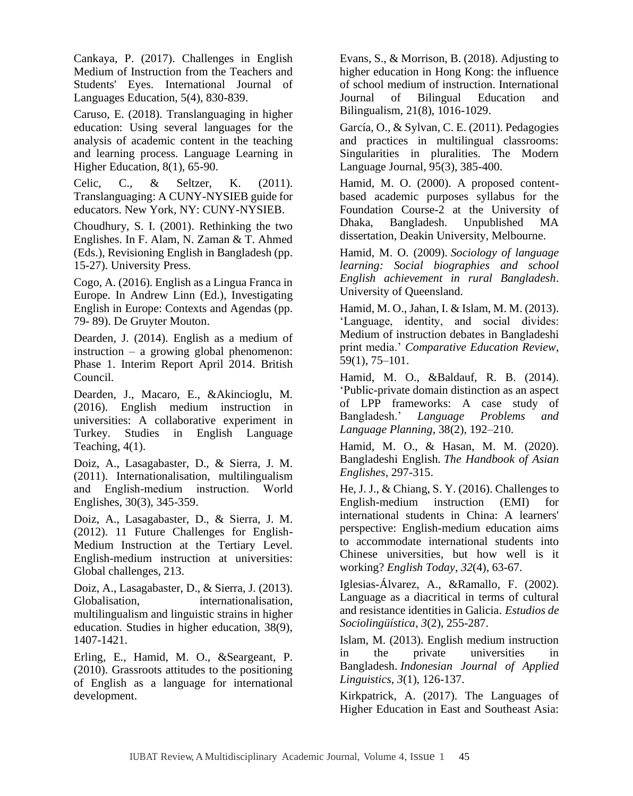Cankaya, P. (2017). Challenges in English Medium of Instruction from the Teachers and Students' Eyes. International Journal of Languages Education, 5(4), 830-839.

Caruso, E. (2018). Translanguaging in higher education: Using several languages for the analysis of academic content in the teaching and learning process. Language Learning in Higher Education, 8(1), 65-90.

Celic, C., & Seltzer, K. (2011). Translanguaging: A CUNY-NYSIEB guide for educators. New York, NY: CUNY-NYSIEB.

Choudhury, S. I. (2001). Rethinking the two Englishes. In F. Alam, N. Zaman & T. Ahmed (Eds.), Revisioning English in Bangladesh (pp. 15-27). University Press.

Cogo, A. (2016). English as a Lingua Franca in Europe. In Andrew Linn (Ed.), Investigating English in Europe: Contexts and Agendas (pp. 79- 89). De Gruyter Mouton.

Dearden, J. (2014). English as a medium of instruction – a growing global phenomenon: Phase 1. Interim Report April 2014. British Council.

Dearden, J., Macaro, E., &Akincioglu, M. (2016). English medium instruction in universities: A collaborative experiment in Turkey. Studies in English Language Teaching, 4(1).

Doiz, A., Lasagabaster, D., & Sierra, J. M. (2011). Internationalisation, multilingualism and English‐medium instruction. World Englishes, 30(3), 345-359.

Doiz, A., Lasagabaster, D., & Sierra, J. M. (2012). 11 Future Challenges for English-Medium Instruction at the Tertiary Level. English-medium instruction at universities: Global challenges, 213.

Doiz, A., Lasagabaster, D., & Sierra, J. (2013). Globalisation, internationalisation, multilingualism and linguistic strains in higher education. Studies in higher education, 38(9), 1407-1421.

Erling, E., Hamid, M. O., &Seargeant, P. (2010). Grassroots attitudes to the positioning of English as a language for international development.

Evans, S., & Morrison, B. (2018). Adjusting to higher education in Hong Kong: the influence of school medium of instruction. International Journal of Bilingual Education and Bilingualism, 21(8), 1016-1029.

García, O., & Sylvan, C. E. (2011). Pedagogies and practices in multilingual classrooms: Singularities in pluralities. The Modern Language Journal, 95(3), 385-400.

Hamid, M. O. (2000). A proposed contentbased academic purposes syllabus for the Foundation Course-2 at the University of Dhaka, Bangladesh. Unpublished MA dissertation, Deakin University, Melbourne.

Hamid, M. O. (2009). *Sociology of language learning: Social biographies and school English achievement in rural Bangladesh*. University of Queensland.

Hamid, M. O., Jahan, I. & Islam, M. M. (2013). 'Language, identity, and social divides: Medium of instruction debates in Bangladeshi print media.' *Comparative Education Review*, 59(1), 75–101.

Hamid, M. O., &Baldauf, R. B. (2014). 'Public-private domain distinction as an aspect of LPP frameworks: A case study of Bangladesh.' *Language Problems and Language Planning*, 38(2), 192–210.

Hamid, M. O., & Hasan, M. M. (2020). Bangladeshi English. *The Handbook of Asian Englishes*, 297-315.

He, J. J., & Chiang, S. Y. (2016). Challenges to English-medium instruction (EMI) for international students in China: A learners' perspective: English-medium education aims to accommodate international students into Chinese universities, but how well is it working? *English Today*, *32*(4), 63-67.

Iglesias-Álvarez, A., &Ramallo, F. (2002). Language as a diacritical in terms of cultural and resistance identities in Galicia. *Estudios de Sociolingüística*, *3*(2), 255-287.

Islam, M. (2013). English medium instruction in the private universities in Bangladesh. *Indonesian Journal of Applied Linguistics*, *3*(1), 126-137.

Kirkpatrick, A. (2017). The Languages of Higher Education in East and Southeast Asia: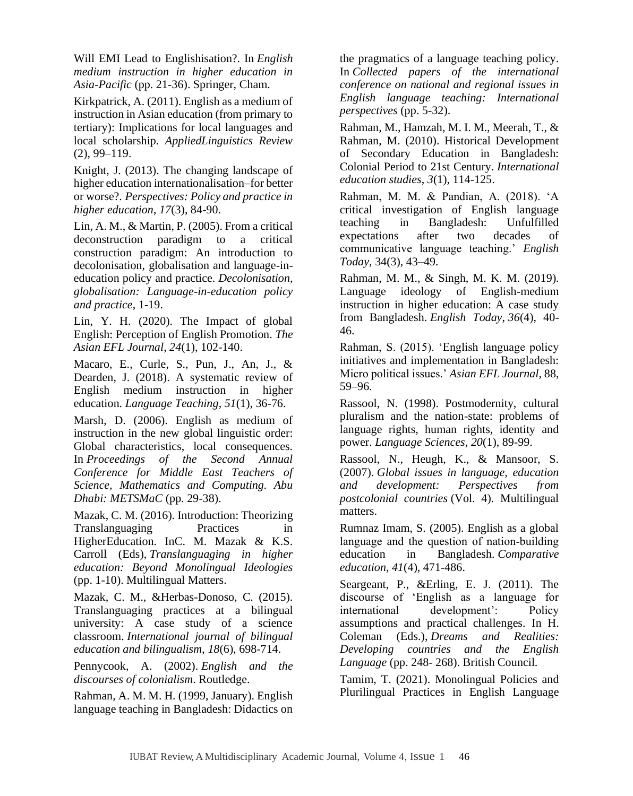Will EMI Lead to Englishisation?. In *English medium instruction in higher education in Asia-Pacific* (pp. 21-36). Springer, Cham.

Kirkpatrick, A. (2011). English as a medium of instruction in Asian education (from primary to tertiary): Implications for local languages and local scholarship. *AppliedLinguistics Review*  (2), 99–119.

Knight, J. (2013). The changing landscape of higher education internationalisation–for better or worse?. *Perspectives: Policy and practice in higher education*, *17*(3), 84-90.

Lin, A. M., & Martin, P. (2005). From a critical deconstruction paradigm to a critical construction paradigm: An introduction to decolonisation, globalisation and language-ineducation policy and practice. *Decolonisation, globalisation: Language-in-education policy and practice*, 1-19.

Lin, Y. H. (2020). The Impact of global English: Perception of English Promotion. *The Asian EFL Journal*, *24*(1), 102-140.

Macaro, E., Curle, S., Pun, J., An, J., & Dearden, J. (2018). A systematic review of English medium instruction in higher education. *Language Teaching*, *51*(1), 36-76.

Marsh, D. (2006). English as medium of instruction in the new global linguistic order: Global characteristics, local consequences. In *Proceedings of the Second Annual Conference for Middle East Teachers of Science, Mathematics and Computing. Abu Dhabi: METSMaC* (pp. 29-38).

Mazak, C. M. (2016). Introduction: Theorizing Translanguaging Practices in HigherEducation. InC. M. Mazak & K.S. Carroll (Eds), *Translanguaging in higher education: Beyond Monolingual Ideologies*  (pp. 1-10). Multilingual Matters.

Mazak, C. M., &Herbas-Donoso, C. (2015). Translanguaging practices at a bilingual university: A case study of a science classroom. *International journal of bilingual education and bilingualism*, *18*(6), 698-714.

Pennycook, A. (2002). *English and the discourses of colonialism*. Routledge.

Rahman, A. M. M. H. (1999, January). English language teaching in Bangladesh: Didactics on the pragmatics of a language teaching policy. In *Collected papers of the international conference on national and regional issues in English language teaching: International perspectives* (pp. 5-32).

Rahman, M., Hamzah, M. I. M., Meerah, T., & Rahman, M. (2010). Historical Development of Secondary Education in Bangladesh: Colonial Period to 21st Century. *International education studies*, *3*(1), 114-125.

Rahman, M. M. & Pandian, A. (2018). 'A critical investigation of English language teaching in Bangladesh: Unfulfilled expectations after two decades of communicative language teaching.' *English Today*, 34(3), 43–49.

Rahman, M. M., & Singh, M. K. M. (2019). Language ideology of English-medium instruction in higher education: A case study from Bangladesh. *English Today*, *36*(4), 40- 46.

Rahman, S. (2015). 'English language policy initiatives and implementation in Bangladesh: Micro political issues.' *Asian EFL Journal*, 88, 59–96.

Rassool, N. (1998). Postmodernity, cultural pluralism and the nation-state: problems of language rights, human rights, identity and power. *Language Sciences*, *20*(1), 89-99.

Rassool, N., Heugh, K., & Mansoor, S. (2007). *Global issues in language, education and development: Perspectives from postcolonial countries* (Vol. 4). Multilingual matters.

Rumnaz Imam, S. (2005). English as a global language and the question of nation‐building education in Bangladesh. *Comparative education*, *41*(4), 471-486.

Seargeant, P., &Erling, E. J. (2011). The discourse of 'English as a language for international development': Policy assumptions and practical challenges. In H. Coleman (Eds.), *Dreams and Realities: Developing countries and the English Language* (pp. 248- 268). British Council.

Tamim, T. (2021). Monolingual Policies and Plurilingual Practices in English Language